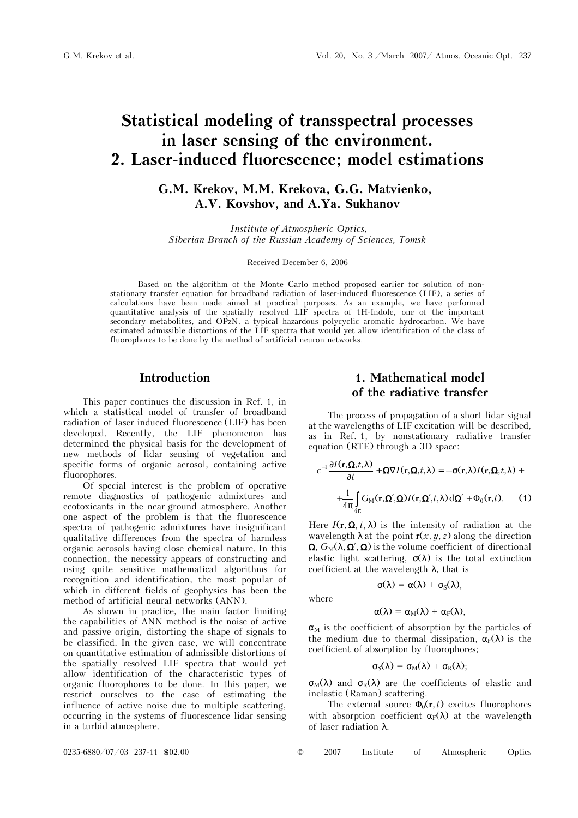# **Statistical modeling of transspectral processes in laser sensing of the environment. 2. Laser-induced fluorescence; model estimations**

**G.M. Krekov, M.M. Krekova, G.G. Matvienko, A.V. Kovshov, and A.Ya. Sukhanov** 

 *Institute of Atmospheric Optics, Siberian Branch of the Russian Academy of Sciences, Tomsk* 

Received December 6, 2006

Based on the algorithm of the Monte Carlo method proposed earlier for solution of nonstationary transfer equation for broadband radiation of laser-induced fluorescence (LIF), a series of calculations have been made aimed at practical purposes. As an example, we have performed quantitative analysis of the spatially resolved LIF spectra of 1H-Indole, one of the important secondary metabolites, and OPzN, a typical hazardous polycyclic aromatic hydrocarbon. We have estimated admissible distortions of the LIF spectra that would yet allow identification of the class of fluorophores to be done by the method of artificial neuron networks.

### **Introduction**

This paper continues the discussion in Ref. 1, in which a statistical model of transfer of broadband radiation of laser-induced fluorescence (LIF) has been developed. Recently, the LIF phenomenon has determined the physical basis for the development of new methods of lidar sensing of vegetation and specific forms of organic aerosol, containing active fluorophores.

Of special interest is the problem of operative remote diagnostics of pathogenic admixtures and ecotoxicants in the near-ground atmosphere. Another one aspect of the problem is that the fluorescence spectra of pathogenic admixtures have insignificant qualitative differences from the spectra of harmless organic aerosols having close chemical nature. In this connection, the necessity appears of constructing and using quite sensitive mathematical algorithms for recognition and identification, the most popular of which in different fields of geophysics has been the method of artificial neural networks (ANN).

As shown in practice, the main factor limiting the capabilities of ANN method is the noise of active and passive origin, distorting the shape of signals to be classified. In the given case, we will concentrate on quantitative estimation of admissible distortions of the spatially resolved LIF spectra that would yet allow identification of the characteristic types of organic fluorophores to be done. In this paper, we restrict ourselves to the case of estimating the influence of active noise due to multiple scattering, occurring in the systems of fluorescence lidar sensing in a turbid atmosphere.

# **1. Mathematical model of the radiative transfer**

The process of propagation of a short lidar signal at the wavelengths of LIF excitation will be described, as in Ref. 1, by nonstationary radiative transfer equation (RTE) through a 3D space:

$$
c^{-1} \frac{\partial I(\mathbf{r}, \mathbf{\Omega}, t, \lambda)}{\partial t} + \mathbf{\Omega} \nabla I(\mathbf{r}, \mathbf{\Omega}, t, \lambda) = -\sigma(\mathbf{r}, \lambda) I(\mathbf{r}, \mathbf{\Omega}, t, \lambda) +
$$

$$
+ \frac{1}{4\pi} \int_{4\pi} G_{\mathbf{M}}(\mathbf{r}, \mathbf{\Omega}', \mathbf{\Omega}) I(\mathbf{r}, \mathbf{\Omega}', t, \lambda) d\mathbf{\Omega}' + \Phi_0(\mathbf{r}, t). \tag{1}
$$

Here  $I(\mathbf{r}, \mathbf{\Omega}, t, \lambda)$  is the intensity of radiation at the wavelength  $\lambda$  at the point **r**(*x*, *y*, *z*) along the direction  $\Omega$ ,  $G_M(\lambda, \Omega', \Omega)$  is the volume coefficient of directional elastic light scattering,  $\sigma(\lambda)$  is the total extinction coefficient at the wavelength  $\lambda$ , that is

where

$$
\alpha(\lambda) = \alpha_{\rm M}(\lambda) + \alpha_{\rm F}(\lambda),
$$

 $\sigma(\lambda) = \alpha(\lambda) + \sigma_S(\lambda),$ 

 $\alpha_M$  is the coefficient of absorption by the particles of the medium due to thermal dissipation,  $\alpha_F(\lambda)$  is the coefficient of absorption by fluorophores;

$$
\sigma_{\rm S}(\lambda) = \sigma_{\rm M}(\lambda) + \sigma_{\rm R}(\lambda);
$$

 $\sigma_M(\lambda)$  and  $\sigma_R(\lambda)$  are the coefficients of elastic and inelastic (Raman) scattering.

The external source  $\Phi_0(\mathbf{r},t)$  excites fluorophores with absorption coefficient  $\alpha_F(\lambda)$  at the wavelength of laser radiation λ.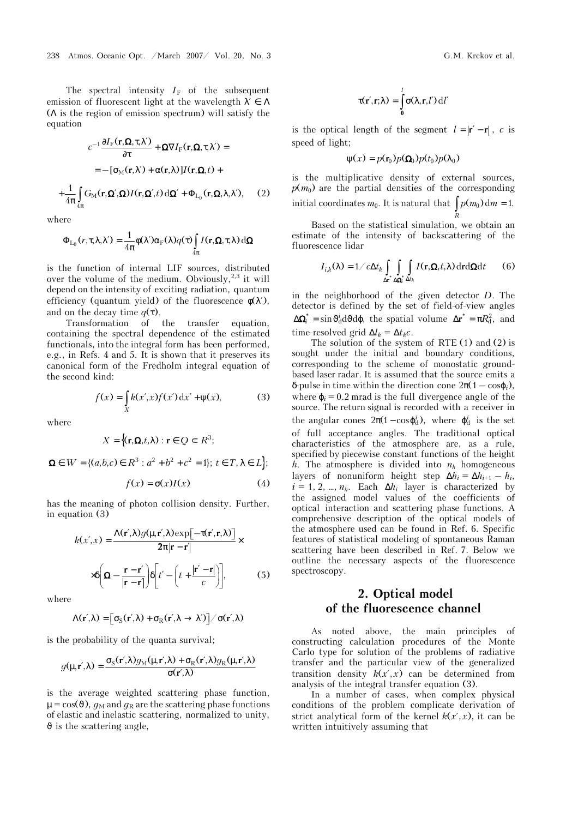The spectral intensity  $I_F$  of the subsequent emission of fluorescent light at the wavelength  $\lambda' \in \Lambda$ (Λ is the region of emission spectrum) will satisfy the equation

$$
c^{-1} \frac{\partial I_{\mathrm{F}}(\mathbf{r}, \mathbf{\Omega}, \tau, \lambda')}{\partial \tau} + \mathbf{\Omega} \nabla I_{\mathrm{F}}(\mathbf{r}, \mathbf{\Omega}, \tau, \lambda') =
$$
  
= -[\sigma\_{\mathrm{M}}(\mathbf{r}, \lambda') + \alpha(\mathbf{r}, \lambda)]I(\mathbf{r}, \mathbf{\Omega}, t) +  
+ \frac{1}{4\pi} \int\_{4\pi} G\_{\mathrm{M}}(\mathbf{r}, \mathbf{\Omega}', \mathbf{\Omega})I(\mathbf{r}, \mathbf{\Omega}', t) d\mathbf{\Omega}' + \Phi\_{\mathrm{L}\_0}(\mathbf{r}, \mathbf{\Omega}, \lambda, \lambda'), (2)

where

$$
\Phi_{L_0}(r,\tau,\lambda,\lambda') = \frac{1}{4\pi} \phi(\lambda') \alpha_F(\lambda) q(\tau) \int_{4\pi} I(\mathbf{r},\Omega,\tau,\lambda) d\Omega
$$

is the function of internal LIF sources, distributed over the volume of the medium. Obviously,  $2,3$  it will depend on the intensity of exciting radiation, quantum efficiency (quantum yield) of the fluorescence  $\phi(\lambda')$ , and on the decay time  $q(\tau)$ .

Transformation of the transfer equation, containing the spectral dependence of the estimated functionals, into the integral form has been performed, e.g., in Refs. 4 and 5. It is shown that it preserves its canonical form of the Fredholm integral equation of the second kind:

$$
f(x) = \int_{X} k(x', x) f(x') dx' + \psi(x),
$$
 (3)

where

$$
X = \{ (\mathbf{r}, \mathbf{\Omega}, t, \lambda) : \mathbf{r} \in Q \subset R^3; \}
$$

$$
\mathbf{\Omega} \in W = \{ (a, b, c) \in R^3 : a^2 + b^2 + c^2 = 1 \}; t \in T, \lambda \in L \};
$$

$$
f(x) = \sigma(x)I(x) \tag{4}
$$

has the meaning of photon collision density. Further, in equation (3)

$$
k(x',x) = \frac{\Lambda(\mathbf{r}',\lambda)g(\mu,\mathbf{r}',\lambda)\exp[-\tau(\mathbf{r}',\mathbf{r},\lambda)]}{2\pi|\mathbf{r}-\mathbf{r}'|} \times
$$

$$
\times \delta\left(\mathbf{\Omega} - \frac{\mathbf{r}-\mathbf{r}'}{|\mathbf{r}-\mathbf{r}'|}\right)\delta\left[t' - \left(t + \frac{|\mathbf{r}'-\mathbf{r}|}{c}\right)\right],\tag{5}
$$

where

$$
\Lambda(\boldsymbol{r}',\lambda) = \bigr[\sigma_S(\boldsymbol{r}',\lambda) + \sigma_R(\boldsymbol{r}',\lambda \to \lambda') \bigr] / \, \sigma(\boldsymbol{r}',\lambda)
$$

is the probability of the quanta survival;

$$
g(\mu, \mathbf{r}', \lambda) = \frac{\sigma_{\rm S}(\mathbf{r}', \lambda) g_{\rm M}(\mu, \mathbf{r}', \lambda) + \sigma_{\rm R}(\mathbf{r}', \lambda) g_{\rm R}(\mu, \mathbf{r}', \lambda)}{\sigma(\mathbf{r}', \lambda)}
$$

is the average weighted scattering phase function,  $\mu = \cos(\theta)$ ,  $g_M$  and  $g_R$  are the scattering phase functions of elastic and inelastic scattering, normalized to unity,  $\vartheta$  is the scattering angle,

$$
\tau(\mathbf{r}', \mathbf{r}; \lambda) = \int_{0}^{l} \sigma(\lambda, \mathbf{r}, l') \, \mathrm{d}l'
$$

is the optical length of the segment  $l = |{\bf r}' - {\bf r}|$ , *c* is speed of light;

$$
\psi(x) = p(\mathbf{r}_0)p(\mathbf{\Omega}_0)p(t_0)p(\lambda_0)
$$

is the multiplicative density of external sources,  $p(m_0)$  are the partial densities of the corresponding initial coordinates  $m_0$ . It is natural that  $\int p(m_0) dm = 1$ . *R*

 Based on the statistical simulation, we obtain an estimate of the intensity of backscattering of the fluorescence lidar

$$
I_{i,k}(\lambda) = 1 / c \Delta t_k \int_{\Delta \mathbf{r}^* \Delta \mathbf{Q}_i^*} \int_{\Delta t_k} I(\mathbf{r}, \mathbf{\Omega}, t, \lambda) \, d\mathbf{r} \, d\mathbf{\Omega} dt \qquad (6)
$$

in the neighborhood of the given detector *D*. The detector is defined by the set of field-of-view angles  $\Delta \Omega_i^* = \sin \vartheta_d^i d\vartheta d\varphi$ , the spatial volume  $\Delta \mathbf{r}^* = \pi R_d^2$ , and time-resolved grid  $\Delta l_k = \Delta t_k c$ .

The solution of the system of RTE (1) and (2) is sought under the initial and boundary conditions, corresponding to the scheme of monostatic groundbased laser radar. It is assumed that the source emits a δ-pulse in time within the direction cone 2π(1 – cosϕ*i*), where  $\varphi_i = 0.2$  mrad is the full divergence angle of the source. The return signal is recorded with a receiver in the angular cones  $2\pi(1 - \cos\varphi_d^i)$ , where  $\varphi_d^i$  is the set of full acceptance angles. The traditional optical characteristics of the atmosphere are, as a rule, specified by piecewise constant functions of the height *h*. The atmosphere is divided into  $n_h$  homogeneous layers of nonuniform height step  $\Delta h_i = \Delta h_{i+1} - h_i$ ,  $i = 1, 2, ..., n_h$ . Each  $\Delta h_i$  layer is characterized by the assigned model values of the coefficients of optical interaction and scattering phase functions. A comprehensive description of the optical models of the atmosphere used can be found in Ref. 6. Specific features of statistical modeling of spontaneous Raman scattering have been described in Ref. 7. Below we outline the necessary aspects of the fluorescence spectroscopy.

## **2. Optical model of the fluorescence channel**

As noted above, the main principles of constructing calculation procedures of the Monte Carlo type for solution of the problems of radiative transfer and the particular view of the generalized transition density  $k(x',x)$  can be determined from analysis of the integral transfer equation (3).

In a number of cases, when complex physical conditions of the problem complicate derivation of strict analytical form of the kernel  $k(x',x)$ , it can be written intuitively assuming that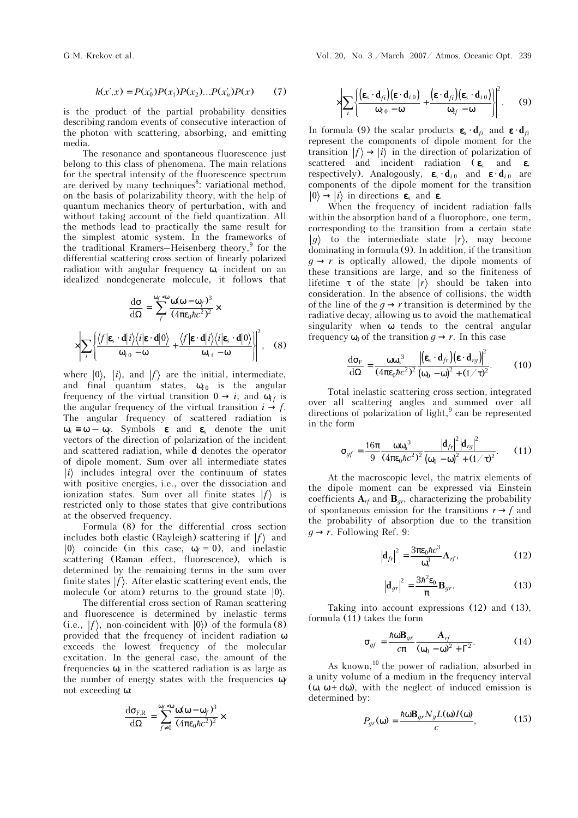$$
k(x',x) = P(x'_0)P(x_1)P(x_2)...P(x'_n)P(x)
$$
 (7)

is the product of the partial probability densities describing random events of consecutive interaction of the photon with scattering, absorbing, and emitting media.

The resonance and spontaneous fluorescence just belong to this class of phenomena. The main relations for the spectral intensity of the fluorescence spectrum are derived by many techniques<sup>8</sup>: variational method, on the basis of polarizability theory, with the help of quantum mechanics theory of perturbation, with and without taking account of the field quantization. All the methods lead to practically the same result for the simplest atomic system. In the frameworks of the traditional Kramers–Heisenberg theory,<sup>9</sup> for the differential scattering cross section of linearly polarized radiation with angular frequency ω, incident on an idealized nondegenerate molecule, it follows that

$$
\frac{d\sigma}{d\Omega} = \sum_{f}^{\omega_f < \omega} \frac{\omega(\omega - \omega_f)^3}{(4\pi\epsilon_0\hbar c^2)^2} \times
$$

$$
\times \left| \sum_{i} \left\{ \frac{\langle f | \mathbf{\varepsilon}_{\rm s} \cdot \mathbf{d} | i \rangle \langle i | \mathbf{\varepsilon} \cdot \mathbf{d} | 0 \rangle}{\omega_{i\,0} - \omega} + \frac{\langle f | \mathbf{\varepsilon} \cdot \mathbf{d} | i \rangle \langle i | \mathbf{\varepsilon}_{\rm s} \cdot \mathbf{d} | 0 \rangle}{\omega_{i\,f} - \omega} \right|^2, \quad (8)
$$

where  $|0\rangle$ ,  $|i\rangle$ , and  $|f\rangle$  are the initial, intermediate, and final quantum states,  $\omega_{i0}$  is the angular frequency of the virtual transition  $0 \rightarrow i$ , and  $\omega_{if}$  is the angular frequency of the virtual transition  $i \rightarrow f$ . The angular frequency of scattered radiation is  $\omega_s \equiv \omega - \omega_f$ . Symbols **ε** and **ε**<sub>s</sub> denote the unit vectors of the direction of polarization of the incident and scattered radiation, while **d** denotes the operator of dipole moment. Sum over all intermediate states  $|i\rangle$  includes integral over the continuum of states with positive energies, i.e., over the dissociation and ionization states. Sum over all finite states  $|f\rangle$  is restricted only to those states that give contributions at the observed frequency.

Formula (8) for the differential cross section includes both elastic (Rayleigh) scattering if  $|f\rangle$  and  $|0\rangle$  coincide (in this case,  $\omega_f = 0$ ), and inelastic scattering (Raman effect, fluorescence), which is determined by the remaining terms in the sum over finite states  $|f\rangle$ . After elastic scattering event ends, the molecule (or atom) returns to the ground state  $|0\rangle$ .

 The differential cross section of Raman scattering and fluorescence is determined by inelastic terms (i.e.,  $|f\rangle$ , non-coincident with  $|0\rangle$ ) of the formula (8) provided that the frequency of incident radiation ω exceeds the lowest frequency of the molecular excitation. In the general case, the amount of the frequencies  $\omega_s$  in the scattered radiation is as large as the number of energy states with the frequencies  $\omega_f$ not exceeding ω:

$$
\frac{\mathrm{d}\sigma_{\mathrm{F,R}}}{\mathrm{d}\Omega} = \sum_{f=0}^{\omega_f < \omega} \frac{\omega(\omega - \omega_f)^3}{(4\pi\varepsilon_0\hbar c^2)^2} \times
$$

$$
\times \left| \sum_{i} \left\{ \frac{(\mathbf{\varepsilon}_{s} \cdot \mathbf{d}_{fi})(\mathbf{\varepsilon} \cdot \mathbf{d}_{i\,0})}{\omega_{i\,0} - \omega} + \frac{(\mathbf{\varepsilon} \cdot \mathbf{d}_{fi})(\mathbf{\varepsilon}_{s} \cdot \mathbf{d}_{i\,0})}{\omega_{if} - \omega} \right\} \right|^{2}.
$$
 (9)

In formula (9) the scalar products  $\mathbf{\varepsilon}_{s} \cdot \mathbf{d}_{fi}$  and  $\mathbf{\varepsilon} \cdot \mathbf{d}_{fi}$ represent the components of dipole moment for the transition  $|f\rangle \rightarrow |i\rangle$  in the direction of polarization of scattered and incident radiation ( $\varepsilon$ <sub>s</sub> and  $\varepsilon$ , respectively). Analogously,  $\mathbf{\varepsilon}_{s} \cdot \mathbf{d}_{i0}$  and  $\mathbf{\varepsilon} \cdot \mathbf{d}_{i0}$  are components of the dipole moment for the transition  $|0\rangle \rightarrow |i\rangle$  in directions  $\epsilon_{\rm s}$  and  $\epsilon$ .

When the frequency of incident radiation falls within the absorption band of a fluorophore, one term, corresponding to the transition from a certain state  $|g\rangle$  to the intermediate state  $|r\rangle$ , may become dominating in formula (9). In addition, if the transition  $q \rightarrow r$  is optically allowed, the dipole moments of these transitions are large, and so the finiteness of lifetime  $\tau$  of the state  $|r\rangle$  should be taken into consideration. In the absence of collisions, the width of the line of the  $q \rightarrow r$  transition is determined by the radiative decay, allowing us to avoid the mathematical singularity when ω tends to the central angular frequency  $\omega_0$  of the transition  $q \to r$ . In this case

$$
\frac{d\sigma_{\rm F}}{d\Omega} = \frac{\omega \omega_{\rm s}^3}{(4\pi\epsilon_0\hbar c^2)^2} \frac{\left| (\mathbf{\varepsilon}_{\rm s} \cdot \mathbf{d}_{fr}) (\mathbf{\varepsilon} \cdot \mathbf{d}_{rg}) \right|^2}{(\omega_0 - \omega)^2 + (1/\tau)^2}.
$$
 (10)

Total inelastic scattering cross section, integrated over all scattering angles and summed over all directions of polarization of light, $9$  can be represented in the form

$$
\sigma_{gf} = \frac{16\pi}{9} \frac{\omega \omega_s^3}{(4\pi \epsilon_0 \hbar c^2)^2} \frac{|d_{fr}|^2 |d_{rg}|^2}{(\omega_0 - \omega)^2 + (1/\tau)^2}.
$$
 (11)

At the macroscopic level, the matrix elements of the dipole moment can be expressed via Einstein coefficients  $A_{rf}$  and  $B_{qr}$ , characterizing the probability of spontaneous emission for the transitions  $r \rightarrow f$  and the probability of absorption due to the transition  $q \rightarrow r$ . Following Ref. 9:

$$
\left|\mathbf{d}_{fr}\right|^2 = \frac{3\pi\epsilon_0\hbar c^3}{\omega_s^3} \mathbf{A}_{rf},\tag{12}
$$

$$
\left|\mathbf{d}_{gr}\right|^2 = \frac{3\hbar^2 \varepsilon_0}{\pi} \mathbf{B}_{gr}.\tag{13}
$$

Taking into account expressions (12) and (13), formula (11) takes the form

$$
\sigma_{gf} = \frac{\hbar \omega \mathbf{B}_{gr}}{c\pi} \frac{\mathbf{A}_{rf}}{(\omega_0 - \omega)^2 + \Gamma^2}.
$$
 (14)

As known,<sup>10</sup> the power of radiation, absorbed in a unity volume of a medium in the frequency interval  $(\omega, \omega + d\omega)$ , with the neglect of induced emission is determined by:

$$
P_{gr}(\omega) = \frac{\hbar \omega \mathbf{B}_{gr} N_g L(\omega) I(\omega)}{c},\tag{15}
$$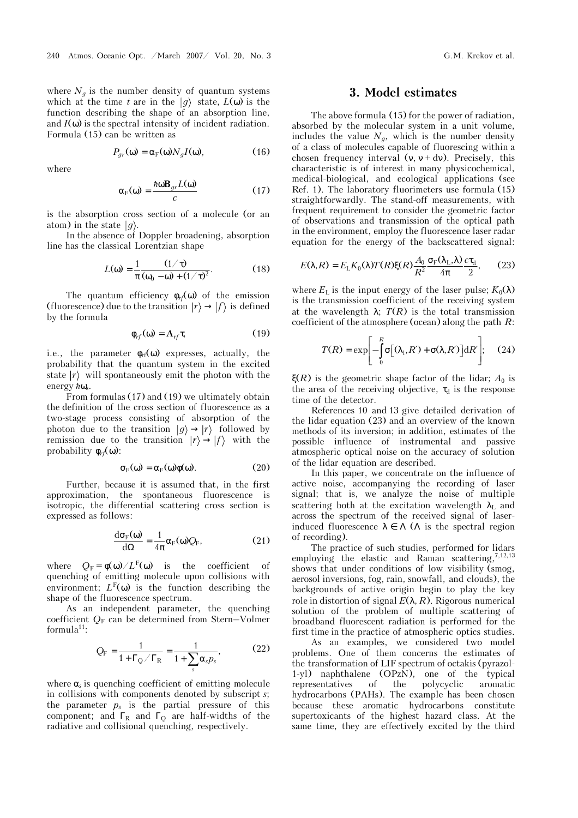where  $N_g$  is the number density of quantum systems which at the time *t* are in the  $|g\rangle$  state,  $L(\omega)$  is the function describing the shape of an absorption line, and  $I(\omega)$  is the spectral intensity of incident radiation. Formula (15) can be written as

$$
P_{gr}(\omega) = \alpha_F(\omega) N_g I(\omega), \qquad (16)
$$

where

$$
\alpha_{\rm F}(\omega) = \frac{\hbar \omega \mathbf{B}_{gr} L(\omega)}{c} \tag{17}
$$

is the absorption cross section of a molecule (or an atom) in the state  $|g\rangle$ .

In the absence of Doppler broadening, absorption line has the classical Lorentzian shape

$$
L(\omega) = \frac{1}{\pi} \frac{(1/\tau)}{(\omega_0 - \omega) + (1/\tau)^2}.
$$
 (18)

The quantum efficiency  $\phi_r(\omega)$  of the emission (fluorescence) due to the transition  $|r\rangle \rightarrow |f\rangle$  is defined by the formula

$$
\phi_{rf}(\omega) = A_{rf}\tau,\tag{19}
$$

i.e., the parameter  $\phi_{rf}(\omega)$  expresses, actually, the probability that the quantum system in the excited state  $|r\rangle$  will spontaneously emit the photon with the energy  $\hbar \omega_{s}$ .

From formulas (17) and (19) we ultimately obtain the definition of the cross section of fluorescence as a two-stage process consisting of absorption of the photon due to the transition  $|g\rangle \rightarrow |r\rangle$  followed by remission due to the transition  $|r\rangle \rightarrow |f\rangle$  with the probability φ*rf*(ω):

$$
\sigma_F(\omega) = \alpha_F(\omega)\phi(\omega). \tag{20}
$$

Further, because it is assumed that, in the first approximation, the spontaneous fluorescence is isotropic, the differential scattering cross section is expressed as follows:

$$
\frac{d\sigma_F(\omega)}{d\Omega} = \frac{1}{4\pi} \alpha_F(\omega) Q_F,
$$
 (21)

where  $Q_F = \phi(\omega)/L^F(\omega)$  is the coefficient of quenching of emitting molecule upon collisions with environment;  $L^F(\omega)$  is the function describing the shape of the fluorescence spectrum.

As an independent parameter, the quenching coefficient  $O_F$  can be determined from Stern–Volmer formula $11$ :

$$
Q_{\rm F} = \frac{1}{1 + \Gamma_{\rm Q} / \Gamma_{\rm R}} = \frac{1}{1 + \sum_{s} \alpha_{s} p_{s}},
$$
 (22)

where  $\alpha_s$  is quenching coefficient of emitting molecule in collisions with components denoted by subscript *s*; the parameter  $p_s$  is the partial pressure of this component; and  $\Gamma_R$  and  $\Gamma_Q$  are half-widths of the radiative and collisional quenching, respectively.

### **3. Model estimates**

The above formula (15) for the power of radiation, absorbed by the molecular system in a unit volume, includes the value  $N_g$ , which is the number density of a class of molecules capable of fluorescing within a chosen frequency interval  $(v, v + dv)$ . Precisely, this characteristic is of interest in many physicochemical, medical-biological, and ecological applications (see Ref. 1). The laboratory fluorimeters use formula (15) straightforwardly. The stand-off measurements, with frequent requirement to consider the geometric factor of observations and transmission of the optical path in the environment, employ the fluorescence laser radar equation for the energy of the backscattered signal:

$$
E(\lambda, R) = E_{\rm L} K_0(\lambda) T(R) \xi(R) \frac{A_0}{R^2} \frac{\sigma_{\rm F}(\lambda_{\rm L}, \lambda)}{4\pi} \frac{c \tau_{\rm d}}{2},\qquad(23)
$$

where  $E_L$  is the input energy of the laser pulse;  $K_0(\lambda)$ is the transmission coefficient of the receiving system at the wavelength  $\lambda$ ;  $T(R)$  is the total transmission coefficient of the atmosphere (ocean) along the path *R*:

$$
T(R) = \exp\left[-\int_{0}^{R} \sigma\left[(\lambda_{1}, R') + \sigma(\lambda, R')\right] dR'\right];
$$
 (24)

ξ $(R)$  is the geometric shape factor of the lidar;  $A_0$  is the area of the receiving objective,  $\tau_d$  is the response time of the detector.

References 10 and 13 give detailed derivation of the lidar equation (23) and an overview of the known methods of its inversion; in addition, estimates of the possible influence of instrumental and passive atmospheric optical noise on the accuracy of solution of the lidar equation are described.

In this paper, we concentrate on the influence of active noise, accompanying the recording of laser signal; that is, we analyze the noise of multiple scattering both at the excitation wavelength  $\lambda_L$  and across the spectrum of the received signal of laserinduced fluorescence  $\lambda \in \Lambda$  ( $\Lambda$  is the spectral region of recording).

The practice of such studies, performed for lidars employing the elastic and Raman scattering, $^{7,12,13}$ shows that under conditions of low visibility (smog, aerosol inversions, fog, rain, snowfall, and clouds), the backgrounds of active origin begin to play the key role in distortion of signal  $E(\lambda, R)$ . Rigorous numerical solution of the problem of multiple scattering of broadband fluorescent radiation is performed for the first time in the practice of atmospheric optics studies.

 As an examples, we considered two model problems. One of them concerns the estimates of the transformation of LIF spectrum of octakis (pyrazol-1-yl) naphthalene (OPzN), one of the typical<br>representatives of the polycyclic aromatic representatives of the polycyclic aromatic hydrocarbons (PAHs). The example has been chosen because these aromatic hydrocarbons constitute supertoxicants of the highest hazard class. At the same time, they are effectively excited by the third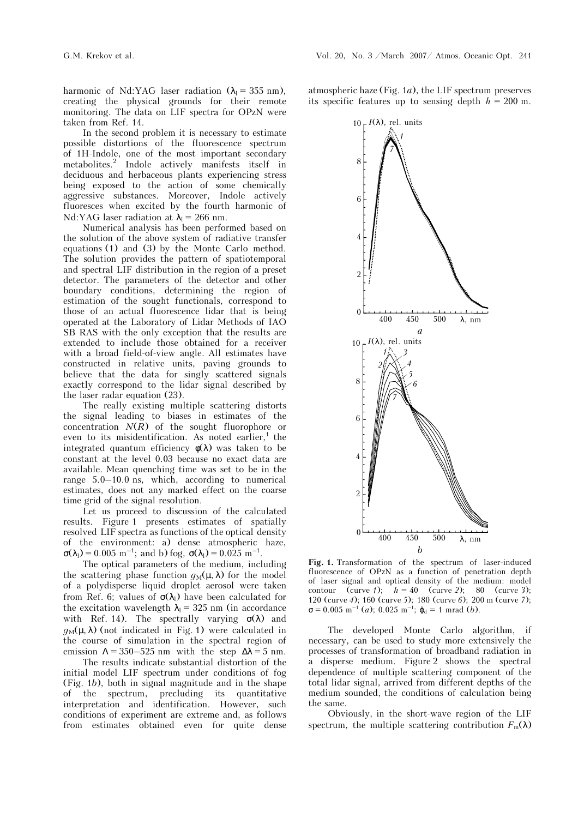harmonic of Nd:YAG laser radiation  $(\lambda_1 = 355 \text{ nm})$ , creating the physical grounds for their remote monitoring. The data on LIF spectra for OPzN were taken from Ref. 14.

In the second problem it is necessary to estimate possible distortions of the fluorescence spectrum of 1H-Indole, one of the most important secondary metabolites.2 Indole actively manifests itself in deciduous and herbaceous plants experiencing stress being exposed to the action of some chemically aggressive substances. Moreover, Indole actively fluoresces when excited by the fourth harmonic of Nd:YAG laser radiation at  $\lambda_1 = 266$  nm.

Numerical analysis has been performed based on the solution of the above system of radiative transfer equations (1) and (3) by the Monte Carlo method. The solution provides the pattern of spatiotemporal and spectral LIF distribution in the region of a preset detector. The parameters of the detector and other boundary conditions, determining the region of estimation of the sought functionals, correspond to those of an actual fluorescence lidar that is being operated at the Laboratory of Lidar Methods of IAO SB RAS with the only exception that the results are extended to include those obtained for a receiver with a broad field-of-view angle. All estimates have constructed in relative units, paving grounds to believe that the data for singly scattered signals exactly correspond to the lidar signal described by the laser radar equation (23).

The really existing multiple scattering distorts the signal leading to biases in estimates of the concentration  $N(R)$  of the sought fluorophore or even to its misidentification. As noted earlier,<sup>1</sup> the integrated quantum efficiency  $\phi(\lambda)$  was taken to be constant at the level 0.03 because no exact data are available. Mean quenching time was set to be in the range 5.0–10.0 ns, which, according to numerical estimates, does not any marked effect on the coarse time grid of the signal resolution.

Let us proceed to discussion of the calculated results. Figure 1 presents estimates of spatially resolved LIF spectra as functions of the optical density of the environment: à) dense atmospheric haze,  $\sigma(\lambda_1) = 0.005$  m<sup>-1</sup>; and b) fog,  $\sigma(\lambda_1) = 0.025$  m<sup>-1</sup>.

The optical parameters of the medium, including the scattering phase function  $g_M(\mu, \lambda)$  for the model of a polydisperse liquid droplet aerosol were taken from Ref. 6; values of  $\sigma(\lambda_1)$  have been calculated for the excitation wavelength  $\lambda_1 = 325$  nm (in accordance with Ref. 14). The spectrally varying  $\sigma(\lambda)$  and  $q_M(\mu, \lambda)$  (not indicated in Fig. 1) were calculated in the course of simulation in the spectral region of emission  $\Lambda = 350 - 525$  nm with the step  $\Delta \lambda = 5$  nm.

 The results indicate substantial distortion of the initial model LIF spectrum under conditions of fog (Fig. 1*b*), both in signal magnitude and in the shape of the spectrum, precluding its quantitative interpretation and identification. However, such conditions of experiment are extreme and, as follows from estimates obtained even for quite dense atmospheric haze (Fig. 1*à*), the LIF spectrum preserves its specific features up to sensing depth  $h = 200$  m.



Fig. 1. Transformation of the spectrum of laser-induced fluorescence of OPzN as a function of penetration depth of laser signal and optical density of the medium: model contour (curve *1*);  $h = 40$  (curve *2*); 80 (curve *3*); 120 (curve *4*); 160 (curve *5*); 180 (curve *6*); 200 m (curve *7*);  $\sigma = 0.005$  m<sup>-1</sup> (*a*); 0.025 m<sup>-1</sup>;  $\varphi_d = 1$  mrad (*b*).

The developed Monte Carlo algorithm, if necessary, can be used to study more extensively the processes of transformation of broadband radiation in a disperse medium. Figure 2 shows the spectral dependence of multiple scattering component of the total lidar signal, arrived from different depths of the medium sounded, the conditions of calculation being the same.

Obviously, in the short-wave region of the LIF spectrum, the multiple scattering contribution  $F_m(\lambda)$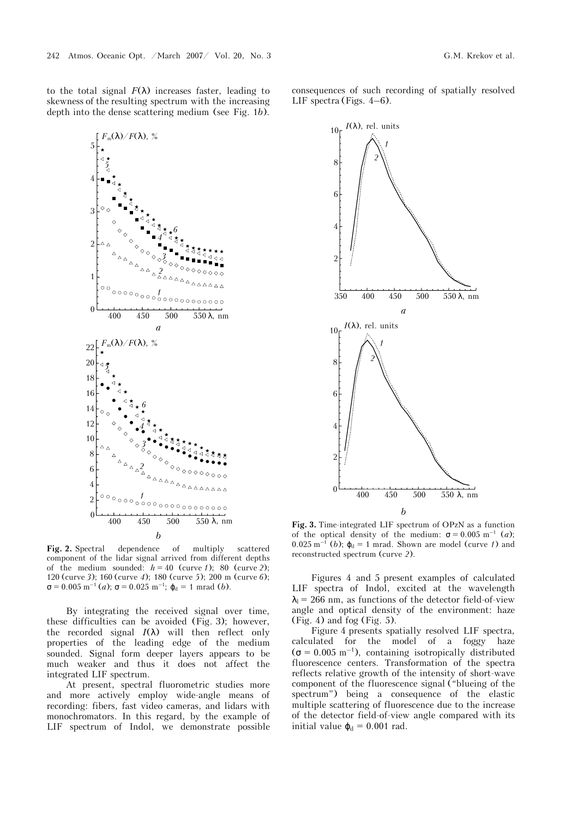to the total signal  $F(\lambda)$  increases faster, leading to skewness of the resulting spectrum with the increasing depth into the dense scattering medium (see Fig. 1*b*).



Fig. 2. Spectral dependence of multiply scattered component of the lidar signal arrived from different depths of the medium sounded:  $h = 40$  (curve *1*); 80 (curve *2*); 120 (curve *3*); 160 (curve *4*); 180 (curve *5*); 200 m (curve *6*);  $\sigma = 0.005$  m<sup>-1</sup> (*a*);  $\sigma = 0.025$  m<sup>-1</sup>;  $\varphi_d = 1$  mrad (*b*).

By integrating the received signal over time, these difficulties can be avoided (Fig. 3); however, the recorded signal *I*(λ) will then reflect only properties of the leading edge of the medium sounded. Signal form deeper layers appears to be much weaker and thus it does not affect the integrated LIF spectrum.

At present, spectral fluorometric studies more and more actively employ wide-angle means of recording: fibers, fast video cameras, and lidars with monochromators. In this regard, by the example of LIF spectrum of Indol, we demonstrate possible consequences of such recording of spatially resolved LIF spectra (Figs. 4–6).



**Fig. 3.** Time-integrated LIF spectrum of OPzN as a function of the optical density of the medium:  $\sigma = 0.005$  m<sup>-1</sup> (*a*);  $0.025 \text{ m}^{-1}$  (*b*);  $\varphi_d = 1$  mrad. Shown are model (curve *1*) and reconstructed spectrum (curve *2*).

Figures 4 and 5 present examples of calculated LIF spectra of Indol, excited at the wavelength  $\lambda_1$  = 266 nm, as functions of the detector field-of-view angle and optical density of the environment: haze (Fig. 4) and fog (Fig. 5).

Figure 4 presents spatially resolved LIF spectra, calculated for the model of a foggy haze  $(\sigma = 0.005 \text{ m}^{-1})$ , containing isotropically distributed fluorescence centers. Transformation of the spectra reflects relative growth of the intensity of short-wave component of the fluorescence signal ("blueing of the spectrum") being a consequence of the elastic multiple scattering of fluorescence due to the increase of the detector field-of-view angle compared with its initial value  $\varphi_d = 0.001$  rad.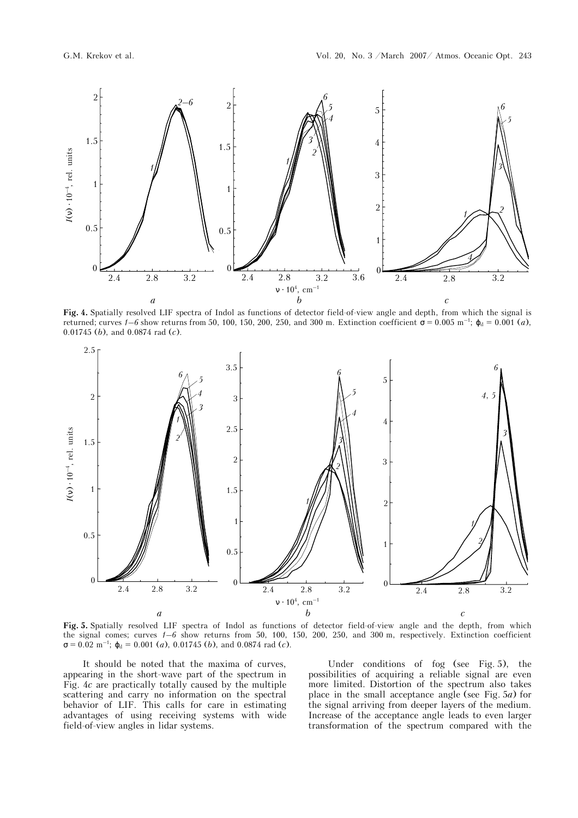

**Fig. 4.** Spatially resolved LIF spectra of Indol as functions of detector field-of-view angle and depth, from which the signal is returned; curves  $1-6$  show returns from 50, 100, 150, 200, 250, and 300 m. Extinction coefficient σ = 0.005 m<sup>-1</sup>;  $φ_d$  = 0.001 (*a*), 0.01745 (*b*), and 0.0874 rad (*c*).



**Fig. 5.** Spatially resolved LIF spectra of Indol as functions of detector field-of-view angle and the depth, from which the signal comes; curves *1*–*6* show returns from 50, 100, 150, 200, 250, and 300 m, respectively. Extinction coefficient  $\sigma = 0.02$  m<sup>-1</sup>;  $\varphi_d = 0.001$  (*a*), 0.01745 (*b*), and 0.0874 rad (*c*).

It should be noted that the maxima of curves, appearing in the short-wave part of the spectrum in Fig. 4*c* are practically totally caused by the multiple scattering and carry no information on the spectral behavior of LIF. This calls for care in estimating advantages of using receiving systems with wide field-of-view angles in lidar systems.

Under conditions of fog (see Fig. 5), the possibilities of acquiring a reliable signal are even more limited. Distortion of the spectrum also takes place in the small acceptance angle (see Fig. 5*à*) for the signal arriving from deeper layers of the medium. Increase of the acceptance angle leads to even larger transformation of the spectrum compared with the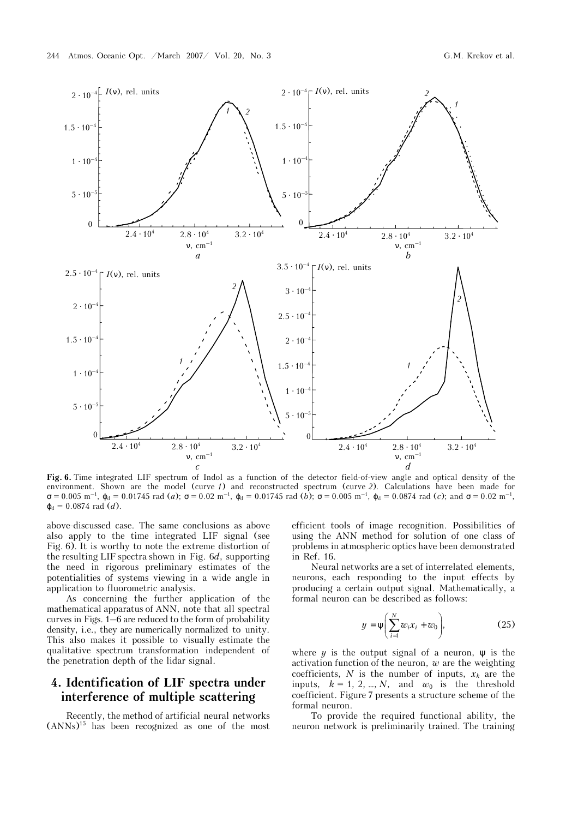

**Fig. 6.** Time integrated LIF spectrum of Indol as a function of the detector field-of-view angle and optical density of the environment. Shown are the model (curve *1*) and reconstructed spectrum (curve 2). Calculations have been made for  $σ = 0.005$  m<sup>-1</sup>,  $φ_d = 0.01745$  rad (*a*);  $σ = 0.02$  m<sup>-1</sup>,  $φ_d = 0.01745$  rad (*b*);  $σ = 0.005$  m<sup>-1</sup>,  $φ_d = 0.0874$  rad (*c*); and  $σ = 0.02$  m<sup>-1</sup>,  $\varphi_d = 0.0874 \text{ rad } (d)$ .

above-discussed case. The same conclusions as above also apply to the time integrated LIF signal (see Fig. 6). It is worthy to note the extreme distortion of the resulting LIF spectra shown in Fig. 6*d*, supporting the need in rigorous preliminary estimates of the potentialities of systems viewing in a wide angle in application to fluorometric analysis.

As concerning the further application of the mathematical apparatus of ANN, note that all spectral curves in Figs. 1–6 are reduced to the form of probability density, i.e., they are numerically normalized to unity. This also makes it possible to visually estimate the qualitative spectrum transformation independent of the penetration depth of the lidar signal.

### **4. Identification of LIF spectra under interference of multiple scattering**

Recently, the method of artificial neural networks  $(ANNs)<sup>15</sup>$  has been recognized as one of the most efficient tools of image recognition. Possibilities of using the ANN method for solution of one class of problems in atmospheric optics have been demonstrated in Ref. 16.

Neural networks are a set of interrelated elements, neurons, each responding to the input effects by producing a certain output signal. Mathematically, a formal neuron can be described as follows:

$$
y = \psi \left( \sum_{i=1}^{N} w_i x_i + w_0 \right), \tag{25}
$$

where  $y$  is the output signal of a neuron,  $\psi$  is the activation function of the neuron, *w* are the weighting coefficients,  $N$  is the number of inputs,  $x_k$  are the inputs,  $k = 1, 2, ..., N$ , and  $w_0$  is the threshold coefficient. Figure 7 presents a structure scheme of the formal neuron.

To provide the required functional ability, the neuron network is preliminarily trained. The training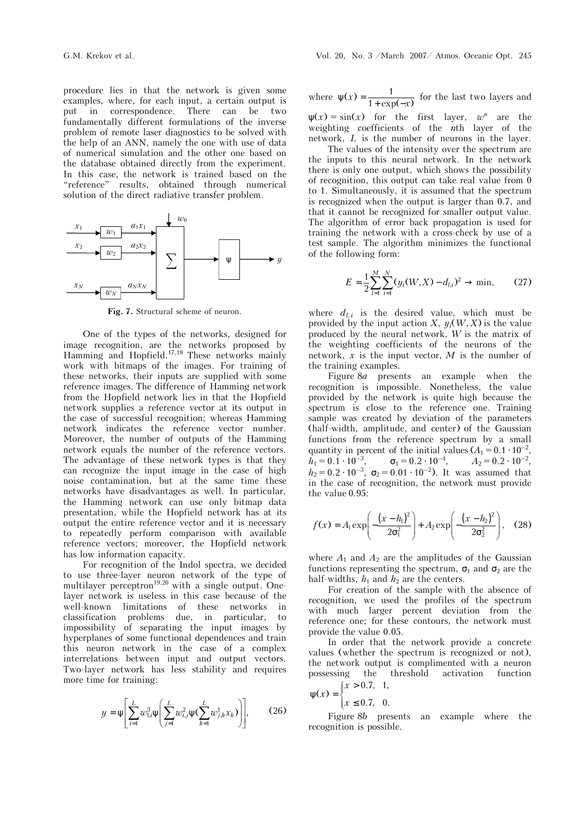procedure lies in that the network is given some examples, where, for each input, a certain output is put in correspondence. There can be two fundamentally different formulations of the inverse problem of remote laser diagnostics to be solved with the help of an ANN, namely the one with use of data of numerical simulation and the other one based on the database obtained directly from the experiment. In this case, the network is trained based on the "reference" results, obtained through numerical solution of the direct radiative transfer problem.



**Fig. 7.** Structural scheme of neuron.

One of the types of the networks, designed for image recognition, are the networks proposed by Hamming and Hopfield.<sup>17,18</sup> These networks mainly work with bitmaps of the images. For training of these networks, their inputs are supplied with some reference images. The difference of Hamming network from the Hopfield network lies in that the Hopfield network supplies a reference vector at its output in the case of successful recognition; whereas Hamming network indicates the reference vector number. Moreover, the number of outputs of the Hamming network equals the number of the reference vectors. The advantage of these network types is that they can recognize the input image in the case of high noise contamination, but at the same time these networks have disadvantages as well. In particular, the Hamming network can use only bitmap data presentation, while the Hopfield network has at its output the entire reference vector and it is necessary to repeatedly perform comparison with available reference vectors; moreover, the Hopfield network has low information capacity.

For recognition of the Indol spectra, we decided to use three-layer neuron network of the type of multilayer perceptron<sup>19,20</sup> with a single output. Onelayer network is useless in this case because of the well-known limitations of these networks in classification problems due, in particular, to impossibility of separating the input images by hyperplanes of some functional dependences and train this neuron network in the case of a complex interrelations between input and output vectors. Two-layer network has less stability and requires more time for training:

$$
y = \psi \left[ \sum_{i=1}^{L} w_{1,i}^{3} \psi \left( \sum_{j=1}^{L} w_{i,j}^{2} \psi \left( \sum_{k=1}^{L} w_{j,k}^{1} x_{k} \right) \right) \right], \qquad (26)
$$

where  $\psi(x) = \frac{1}{1 + \exp(-x)}$  for the last two layers and

 $\psi(x) = \sin(x)$  for the first layer,  $w^n$  are the weighting coefficients of the *n*th layer of the network, *L* is the number of neurons in the layer.

 The values of the intensity over the spectrum are the inputs to this neural network. In the network there is only one output, which shows the possibility of recognition, this output can take real value from 0 to 1. Simultaneously, it is assumed that the spectrum is recognized when the output is larger than 0.7, and that it cannot be recognized for smaller output value. The algorithm of error back propagation is used for training the network with a cross-check by use of a test sample. The algorithm minimizes the functional of the following form:

$$
E = \frac{1}{2} \sum_{l=1}^{M} \sum_{i=1}^{N} (y_i(W, X) - d_{l,i})^2 \to \min, \qquad (27)
$$

where  $d_{l,i}$  is the desired value, which must be provided by the input action *X*,  $y_i(W, X)$  is the value produced by the neural network, *W* is the matrix of the weighting coefficients of the neurons of the network,  $\bar{x}$  is the input vector,  $\bar{M}$  is the number of the training examples.

Figure 8*à* presents an example when the recognition is impossible. Nonetheless, the value provided by the network is quite high because the spectrum is close to the reference one. Training sample was created by deviation of the parameters (half-width, amplitude, and center) of the Gaussian functions from the reference spectrum by a small quantity in percent of the initial values  $(A_1 = 0.1 \cdot 10^{-2})$ ,  $h_1 = 0.1 \cdot 10^{-3}$ ,  $\sigma_1 = 0.2 \cdot 10^{-4}$ ,  $A_2 = 0.2 \cdot 10^{-2}$ ,  $h_2 = 0.2 \cdot 10^{-3}$ ,  $\sigma_2 = 0.01 \cdot 10^{-2}$ . It was assumed that in the case of recognition, the network must provide the value 0.95:

$$
f(x) = A_1 \exp\left(-\frac{(x - h_1)^2}{2\sigma_1^2}\right) + A_2 \exp\left(-\frac{(x - h_2)^2}{2\sigma_2^2}\right), \quad (28)
$$

where  $A_1$  and  $A_2$  are the amplitudes of the Gaussian functions representing the spectrum,  $\sigma_1$  and  $\sigma_2$  are the half-widths,  $h_1$  and  $h_2$  are the centers.

For creation of the sample with the absence of recognition, we used the profiles of the spectrum with much larger percent deviation from the reference one; for these contours, the network must provide the value 0.05.

In order that the network provide a concrete values (whether the spectrum is recognized or not), the network output is complimented with a neuron possessing the threshold activation function

$$
\psi(x) = \begin{cases} x > 0.7, & 1, \\ x \le 0.7, & 0. \end{cases}
$$

Figure 8*b* presents an example where the recognition is possible.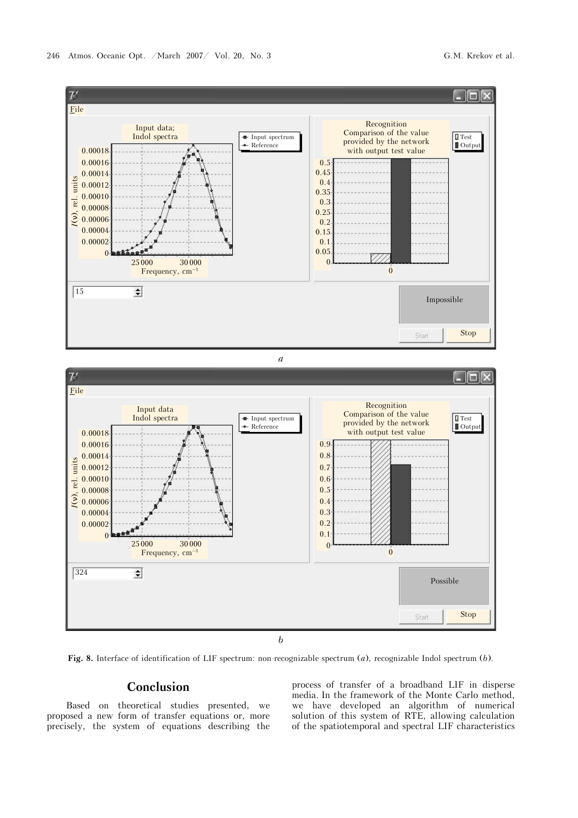



**Fig. 8.** Interface of identification of LIF spectrum: non-recognizable spectrum (*a*), recognizable Indol spectrum (*b*).

### **Conclusion**

Based on theoretical studies presented, we proposed a new form of transfer equations or, more precisely, the system of equations describing the

process of transfer of a broadband LIF in disperse media. In the framework of the Monte Carlo method, we have developed an algorithm of numerical solution of this system of RTE, allowing calculation of the spatiotemporal and spectral LIF characteristics